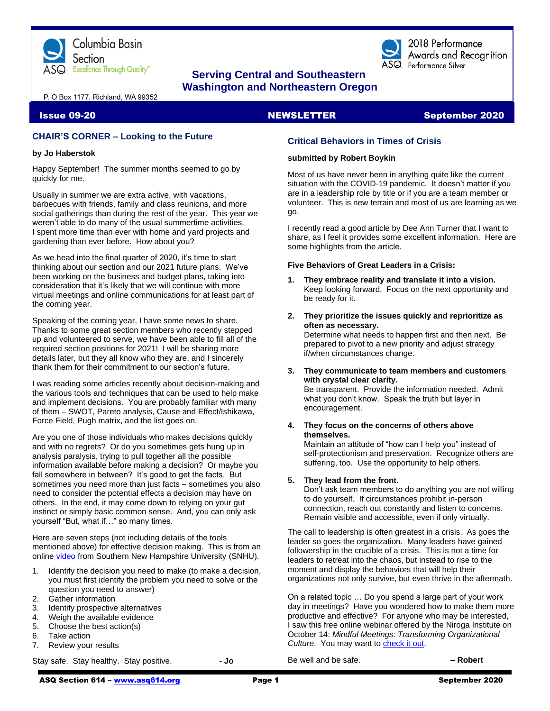

# **Serving Central and Southeastern Washington and Northeastern Oregon**

P. O Box 1177, Richland, WA 99352

# **CHAIR'S CORNER – Looking to the Future**

# **by Jo Haberstok**

Happy September! The summer months seemed to go by quickly for me.

Usually in summer we are extra active, with vacations, barbecues with friends, family and class reunions, and more social gatherings than during the rest of the year. This year we weren't able to do many of the usual summertime activities. I spent more time than ever with home and yard projects and gardening than ever before. How about you?

As we head into the final quarter of 2020, it's time to start thinking about our section and our 2021 future plans. We've been working on the business and budget plans, taking into consideration that it's likely that we will continue with more virtual meetings and online communications for at least part of the coming year.

Speaking of the coming year, I have some news to share. Thanks to some great section members who recently stepped up and volunteered to serve, we have been able to fill all of the required section positions for 2021! I will be sharing more details later, but they all know who they are, and I sincerely thank them for their commitment to our section's future.

I was reading some articles recently about decision-making and the various tools and techniques that can be used to help make and implement decisions. You are probably familiar with many of them – SWOT, Pareto analysis, Cause and Effect/Ishikawa, Force Field, Pugh matrix, and the list goes on.

Are you one of those individuals who makes decisions quickly and with no regrets? Or do you sometimes gets hung up in analysis paralysis, trying to pull together all the possible information available before making a decision? Or maybe you fall somewhere in between? It's good to get the facts. But sometimes you need more than just facts – sometimes you also need to consider the potential effects a decision may have on others. In the end, it may come down to relying on your gut instinct or simply basic common sense. And, you can only ask yourself "But, what if…" so many times.

Here are seven steps (not including details of the tools mentioned above) for effective decision making. This is from an onlin[e video](https://www.youtube.com/watch?v=5a0Fe3AchAI) from Southern New Hampshire University (SNHU).

- 1. Identify the decision you need to make (to make a decision, you must first identify the problem you need to solve or the question you need to answer)
- 2. Gather information
- 3. Identify prospective alternatives
- 4. Weigh the available evidence
- 5. Choose the best action(s)
- 6. Take action
- 7. Review your results

Stay safe. Stay healthy. Stay positive. **- Jo**

# **NEWSLETTER**

# Issue 09-20 NEWSLETTER September 2020

2018 Performance Awards and Recognition

 $\mathsf{ASQ}\;$  Performance Silver

# **Critical Behaviors in Times of Crisis**

# **submitted by Robert Boykin**

Most of us have never been in anything quite like the current situation with the COVID-19 pandemic. It doesn't matter if you are in a leadership role by title or if you are a team member or volunteer. This is new terrain and most of us are learning as we go.

I recently read a good article by Dee Ann Turner that I want to share, as I feel it provides some excellent information. Here are some highlights from the article.

# **Five Behaviors of Great Leaders in a Crisis:**

- **1. They embrace reality and translate it into a vision.** Keep looking forward. Focus on the next opportunity and be ready for it.
- **2. They prioritize the issues quickly and reprioritize as often as necessary.** Determine what needs to happen first and then next. Be prepared to pivot to a new priority and adjust strategy if/when circumstances change.
- **3. They communicate to team members and customers with crystal clear clarity.** Be transparent. Provide the information needed. Admit

what you don't know. Speak the truth but layer in encouragement.

**4. They focus on the concerns of others above themselves.**

Maintain an attitude of "how can I help you" instead of self-protectionism and preservation. Recognize others are suffering, too. Use the opportunity to help others.

# **5. They lead from the front.**

Don't ask team members to do anything you are not willing to do yourself. If circumstances prohibit in-person connection, reach out constantly and listen to concerns. Remain visible and accessible, even if only virtually.

The call to leadership is often greatest in a crisis. As goes the leader so goes the organization. Many leaders have gained followership in the crucible of a crisis. This is not a time for leaders to retreat into the chaos, but instead to rise to the moment and display the behaviors that will help their organizations not only survive, but even thrive in the aftermath.

On a related topic … Do you spend a large part of your work day in meetings? Have you wondered how to make them more productive and effective? For anyone who may be interested, I saw this free online webinar offered by the Niroga Institute on October 14: *Mindful Meetings: Transforming Organizational Culture*. You may want t[o check it out.](https://learn.niroga.org/courses/mindfulmeetings101420)

Be well and be safe. **– Robert**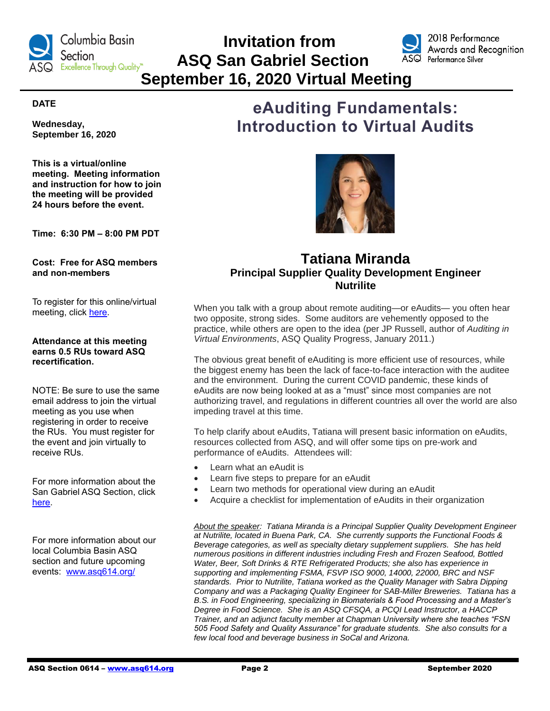

# **Invitation from ASQ San Gabriel Section September 16, 2020 Virtual Meeting**



2018 Performance Awards and Recognition

# **DATE**

**Wednesday, September 16, 2020**

**This is a virtual/online meeting. Meeting information and instruction for how to join the meeting will be provided 24 hours before the event.**

**Time: 6:30 PM – 8:00 PM PDT**

**Cost: Free for ASQ members and non-members**

To register for this online/virtual meeting, click [here.](https://www.eventbrite.com/e/2020-09-asq-san-gabriel-valley-monthly-meeting-tickets-116689907655)

# **Attendance at this meeting earns 0.5 RUs toward ASQ recertification.**

NOTE: Be sure to use the same email address to join the virtual meeting as you use when registering in order to receive the RUs. You must register for the event and join virtually to receive RUs.

For more information about the San Gabriel ASQ Section, click [here.](https://my.asq.org/communities/events/item/241/60/2041)

For more information about our local Columbia Basin ASQ section and future upcoming events: [www.asq614.org/](http://www.asq614.org/)

# **eAuditing Fundamentals: Introduction to Virtual Audits**



# **Tatiana Miranda Principal Supplier Quality Development Engineer Nutrilite**

When you talk with a group about remote auditing—or eAudits— you often hear two opposite, strong sides. Some auditors are vehemently opposed to the practice, while others are open to the idea (per JP Russell, author of *Auditing in Virtual Environments*, ASQ Quality Progress, January 2011.)

The obvious great benefit of eAuditing is more efficient use of resources, while the biggest enemy has been the lack of face-to-face interaction with the auditee and the environment. During the current COVID pandemic, these kinds of eAudits are now being looked at as a "must" since most companies are not authorizing travel, and regulations in different countries all over the world are also impeding travel at this time.

To help clarify about eAudits, Tatiana will present basic information on eAudits, resources collected from ASQ, and will offer some tips on pre-work and performance of eAudits. Attendees will:

- Learn what an eAudit is
- Learn five steps to prepare for an eAudit
- Learn two methods for operational view during an eAudit
- Acquire a checklist for implementation of eAudits in their organization

*About the speaker: Tatiana Miranda is a Principal Supplier Quality Development Engineer at Nutrilite, located in Buena Park, CA. She currently supports the Functional Foods & Beverage categories, as well as specialty dietary supplement suppliers. She has held numerous positions in different industries including Fresh and Frozen Seafood, Bottled Water, Beer, Soft Drinks & RTE Refrigerated Products; she also has experience in supporting and implementing FSMA, FSVP ISO 9000, 14000, 22000, BRC and NSF standards. Prior to Nutrilite, Tatiana worked as the Quality Manager with Sabra Dipping Company and was a Packaging Quality Engineer for SAB-Miller Breweries. Tatiana has a B.S. in Food Engineering, specializing in Biomaterials & Food Processing and a Master's Degree in Food Science. She is an ASQ CFSQA, a PCQI Lead Instructor, a HACCP Trainer, and an adjunct faculty member at Chapman University where she teaches "FSN 505 Food Safety and Quality Assurance" for graduate students. She also consults for a few local food and beverage business in SoCal and Arizona.*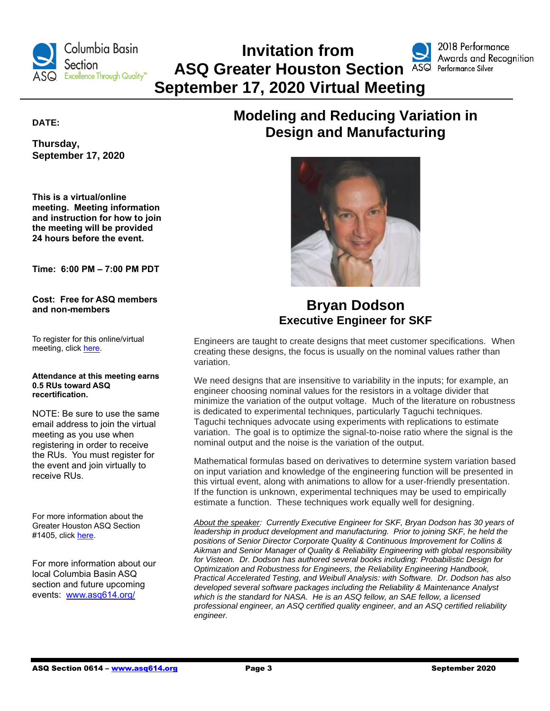

# **Invitation from ASQ Greater Houston Section ASQ Performance Silver September 17, 2020 Virtual Meeting**



# **DATE:**

**Thursday, September 17, 2020**

**This is a virtual/online meeting. Meeting information and instruction for how to join the meeting will be provided 24 hours before the event.**

**Time: 6:00 PM – 7:00 PM PDT**

**Cost: Free for ASQ members and non-members**

To register for this online/virtual meeting, click [here.](https://my.asq.org/communities/events/item/214/60/2179)

#### **Attendance at this meeting earns 0.5 RUs toward ASQ recertification.**

NOTE: Be sure to use the same email address to join the virtual meeting as you use when registering in order to receive the RUs. You must register for the event and join virtually to receive RUs.

For more information about the Greater Houston ASQ Section #1405, click [here.](https://my.asq.org/communities/home/214)

For more information about our local Columbia Basin ASQ section and future upcoming events: [www.asq614.org/](http://www.asq614.org/)

# **Modeling and Reducing Variation in Design and Manufacturing**



# **Bryan Dodson Executive Engineer for SKF**

Engineers are taught to create designs that meet customer specifications. When creating these designs, the focus is usually on the nominal values rather than variation.

We need designs that are insensitive to variability in the inputs; for example, an engineer choosing nominal values for the resistors in a voltage divider that minimize the variation of the output voltage. Much of the literature on robustness is dedicated to experimental techniques, particularly Taguchi techniques. Taguchi techniques advocate using experiments with replications to estimate variation. The goal is to optimize the signal-to-noise ratio where the signal is the nominal output and the noise is the variation of the output.

Mathematical formulas based on derivatives to determine system variation based on input variation and knowledge of the engineering function will be presented in this virtual event, along with animations to allow for a user-friendly presentation. If the function is unknown, experimental techniques may be used to empirically estimate a function. These techniques work equally well for designing.

*About the speaker: Currently Executive Engineer for SKF, Bryan Dodson has 30 years of leadership in product development and manufacturing. Prior to joining SKF, he held the positions of Senior Director Corporate Quality & Continuous Improvement for Collins & Aikman and Senior Manager of Quality & Reliability Engineering with global responsibility for Visteon. Dr. Dodson has authored several books including: Probabilistic Design for Optimization and Robustness for Engineers, the Reliability Engineering Handbook, Practical Accelerated Testing, and Weibull Analysis: with Software. Dr. Dodson has also developed several software packages including the Reliability & Maintenance Analyst which is the standard for NASA. He is an ASQ fellow, an SAE fellow, a licensed professional engineer, an ASQ certified quality engineer, and an ASQ certified reliability engineer.*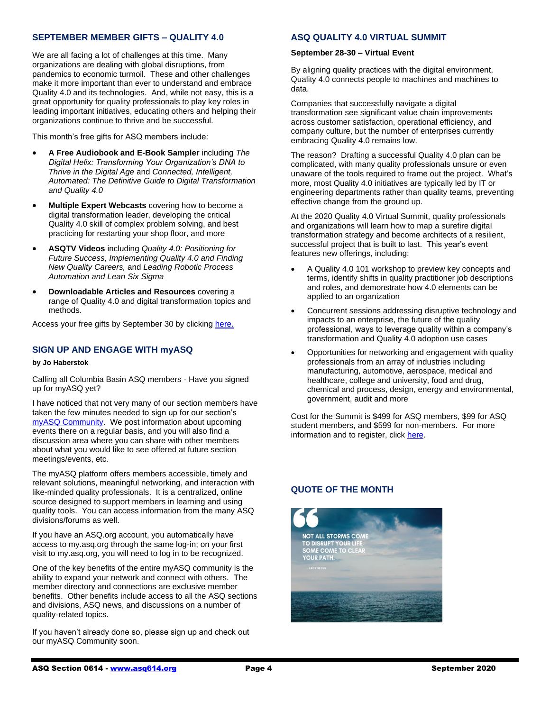# **SEPTEMBER MEMBER GIFTS – QUALITY 4.0**

We are all facing a lot of challenges at this time. Many organizations are dealing with global disruptions, from pandemics to economic turmoil. These and other challenges make it more important than ever to understand and embrace Quality 4.0 and its technologies. And, while not easy, this is a great opportunity for quality professionals to play key roles in leading important initiatives, educating others and helping their organizations continue to thrive and be successful.

This month's free gifts for ASQ members include:

- **A Free Audiobook and E-Book Sampler** including *The Digital Helix: Transforming Your Organization's DNA to Thrive in the Digital Age* and *Connected, Intelligent, Automated: The Definitive Guide to Digital Transformation and Quality 4.0*
- **Multiple Expert Webcasts** covering how to become a digital transformation leader, developing the critical Quality 4.0 skill of complex problem solving, and best practicing for restarting your shop floor, and more
- **ASQTV Videos** including *Quality 4.0: Positioning for Future Success, Implementing Quality 4.0 and Finding New Quality Careers,* and *Leading Robotic Process Automation and Lean Six Sigma*
- **Downloadable Articles and Resources** covering a range of Quality 4.0 and digital transformation topics and methods.

Access your free gifts by September 30 by clickin[g here.](https://secure.asq.org/perl/msg.pl?prvurl=http://asq.org/membership/members/gift/?utm_campaign=marketing%5FSeptemberMemberGift%5F090120&utm_medium=email&utm_source=email)

# **SIGN UP AND ENGAGE WITH myASQ**

### **by Jo Haberstok**

Calling all Columbia Basin ASQ members - Have you signed up for myASQ yet?

I have noticed that not very many of our section members have taken the few minutes needed to sign up for our section's [myASQ Community.](https://my.asq.org/communities/home/235) We post information about upcoming events there on a regular basis, and you will also find a discussion area where you can share with other members about what you would like to see offered at future section meetings/events, etc.

The myASQ platform offers members accessible, timely and relevant solutions, meaningful networking, and interaction with like-minded quality professionals. It is a centralized, online source designed to support members in learning and using quality tools. You can access information from the many ASQ divisions/forums as well.

If you have an ASQ.org account, you automatically have access to my.asq.org through the same log-in; on your first visit to my.asq.org, you will need to log in to be recognized.

One of the key benefits of the entire myASQ community is the ability to expand your network and connect with others. The member directory and connections are exclusive member benefits. Other benefits include access to all the ASQ sections and divisions, ASQ news, and discussions on a number of quality-related topics.

If you haven't already done so, please sign up and check out our myASQ Community soon.

# **ASQ QUALITY 4.0 VIRTUAL SUMMIT**

### **September 28-30 – Virtual Event**

By aligning quality practices with the digital environment, Quality 4.0 connects people to machines and machines to data.

Companies that successfully navigate a digital transformation see significant value chain improvements across customer satisfaction, operational efficiency, and company culture, but the number of enterprises currently embracing Quality 4.0 remains low.

The reason? Drafting a successful Quality 4.0 plan can be complicated, with many quality professionals unsure or even unaware of the tools required to frame out the project. What's more, most Quality 4.0 initiatives are typically led by IT or engineering departments rather than quality teams, preventing effective change from the ground up.

At the 2020 Quality 4.0 Virtual Summit, quality professionals and organizations will learn how to map a surefire digital transformation strategy and become architects of a resilient, successful project that is built to last. This year's event features new offerings, including:

- A Quality 4.0 101 workshop to preview key concepts and terms, identify shifts in quality practitioner job descriptions and roles, and demonstrate how 4.0 elements can be applied to an organization
- Concurrent sessions addressing disruptive technology and impacts to an enterprise, the future of the quality professional, ways to leverage quality within a company's transformation and Quality 4.0 adoption use cases
- Opportunities for networking and engagement with quality professionals from an array of industries including manufacturing, automotive, aerospace, medical and healthcare, college and university, food and drug, chemical and process, design, energy and environmental, government, audit and more

Cost for the Summit is \$499 for ASQ members, \$99 for ASQ student members, and \$599 for non-members. For more information and to register, click [here.](https://asq.org/conferences/quality-4-0/about)

# **QUOTE OF THE MONTH**

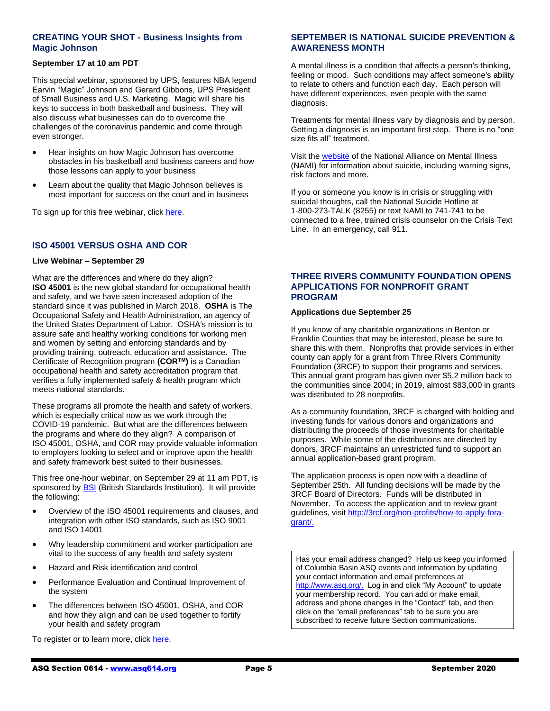# **CREATING YOUR SHOT - Business Insights from Magic Johnson**

# **September 17 at 10 am PDT**

This special webinar, sponsored by UPS, features NBA legend Earvin "Magic" Johnson and Gerard Gibbons, UPS President of Small Business and U.S. Marketing. Magic will share his keys to success in both basketball and business. They will also discuss what businesses can do to overcome the challenges of the coronavirus pandemic and come through even stronger.

- Hear insights on how Magic Johnson has overcome obstacles in his basketball and business careers and how those lessons can apply to your business
- Learn about the quality that Magic Johnson believes is most important for success on the court and in business

To sign up for this free webinar, click [here.](https://solutions.ups.com/Magic-Johnson-webinar-ussp-page.html?WT.mc_id=EML_MKTO_102304)

# **ISO 45001 VERSUS OSHA AND COR**

### **Live Webinar – September 29**

What are the differences and where do they align? **ISO 45001** is the new global standard for occupational health and safety, and we have seen increased adoption of the standard since it was published in March 2018. **OSHA** is The Occupational Safety and Health Administration, an agency of the United States Department of Labor. OSHA's mission is to assure safe and healthy working conditions for working men and women by setting and enforcing standards and by providing training, outreach, education and assistance. The Certificate of Recognition program **(CORTM)** is a Canadian occupational health and safety accreditation program that verifies a fully implemented safety & health program which meets national standards.

These programs all promote the health and safety of workers, which is especially critical now as we work through the COVID-19 pandemic. But what are the differences between the programs and where do they align? A comparison of ISO 45001, OSHA, and COR may provide valuable information to employers looking to select and or improve upon the health and safety framework best suited to their businesses.

This free one-hour webinar, on September 29 at 11 am PDT, is sponsored by **BSI** (British Standards Institution). It will provide the following:

- Overview of the ISO 45001 requirements and clauses, and integration with other ISO standards, such as ISO 9001 and ISO 14001
- Why leadership commitment and worker participation are vital to the success of any health and safety system
- Hazard and Risk identification and control
- Performance Evaluation and Continual Improvement of the system
- The differences between ISO 45001, OSHA, and COR and how they align and can be used together to fortify your health and safety program

To register or to learn more, click [here.](https://page.bsigroup.com/l/73472/2020-09-09/tq7y1y?utm_source=pardot&utm_medium=email)

# **SEPTEMBER IS NATIONAL SUICIDE PREVENTION & AWARENESS MONTH**

A mental illness is a condition that affects a person's thinking, feeling or mood. Such conditions may affect someone's ability to relate to others and function each day. Each person will have different experiences, even people with the same diagnosis.

Treatments for mental illness vary by diagnosis and by person. Getting a diagnosis is an important first step. There is no "one size fits all" treatment.

Visit th[e website](https://nami.org/Home?fbclid=IwAR2LD-X7rpWSu8TUOP7sJ5FT0sYz2dHFHLUDokl57orTAUr0_EjHRHRMnEY) of the National Alliance on Mental Illness (NAMI) for information about suicide, including warning signs, risk factors and more.

If you or someone you know is in crisis or struggling with suicidal thoughts, call the National Suicide Hotline at 1-800-273-TALK (8255) or text NAMI to 741-741 to be connected to a free, trained crisis counselor on the Crisis Text Line. In an emergency, call 911.

# **THREE RIVERS COMMUNITY FOUNDATION OPENS APPLICATIONS FOR NONPROFIT GRANT PROGRAM**

# **Applications due September 25**

If you know of any charitable organizations in Benton or Franklin Counties that may be interested, please be sure to share this with them. Nonprofits that provide services in either county can apply for a grant from Three Rivers Community Foundation (3RCF) to support their programs and services. This annual grant program has given over \$5.2 million back to the communities since 2004; in 2019, almost \$83,000 in grants was distributed to 28 nonprofits.

As a community foundation, 3RCF is charged with holding and investing funds for various donors and organizations and distributing the proceeds of those investments for charitable purposes. While some of the distributions are directed by donors, 3RCF maintains an unrestricted fund to support an annual application-based grant program.

The application process is open now with a deadline of September 25th. All funding decisions will be made by the 3RCF Board of Directors. Funds will be distributed in November. To access the application and to review grant guidelines, visit [http://3rcf.org/non-profits/how-to-apply-fora](http://r20.rs6.net/tn.jsp?f=001eAGy-2i8JNafKmNHkRb8EcRwtgyvXKUxGvcdt_3rWDQak2wYU4pWs9Da9hOIwJVN8qWtkdBFymJfB7lpihilYb6K_pMthWoKyBbnNEY2vpksJOz10fCtgRfa2SANRXgzZLqAjOagXaiWVG-7GtbMfINbM3Ek7OHusYXHFDKNXu9RNrhSTOm1S7coy7F-vb3d&c=nzGhLokfs2eqHTESTKSYg2aEWaErHMqcqFsacaozmGWmG2MbSLPZmQ==&ch=BtA4hSC8Iwh2J1OLeY-eYDgQ_1Q3IM0usJITJ9Hg-YVOwNSYFeq9cg==)[grant/.](http://r20.rs6.net/tn.jsp?f=001eAGy-2i8JNafKmNHkRb8EcRwtgyvXKUxGvcdt_3rWDQak2wYU4pWs9Da9hOIwJVN8qWtkdBFymJfB7lpihilYb6K_pMthWoKyBbnNEY2vpksJOz10fCtgRfa2SANRXgzZLqAjOagXaiWVG-7GtbMfINbM3Ek7OHusYXHFDKNXu9RNrhSTOm1S7coy7F-vb3d&c=nzGhLokfs2eqHTESTKSYg2aEWaErHMqcqFsacaozmGWmG2MbSLPZmQ==&ch=BtA4hSC8Iwh2J1OLeY-eYDgQ_1Q3IM0usJITJ9Hg-YVOwNSYFeq9cg==)

Has your email address changed? Help us keep you informed of Columbia Basin ASQ events and information by updating your contact information and email preferences at [http://www.asq.org/.](http://www.asq.org/) Log in and click "My Account" to update your membership record. You can add or make email, address and phone changes in the "Contact" tab, and then click on the "email preferences" tab to be sure you are subscribed to receive future Section communications.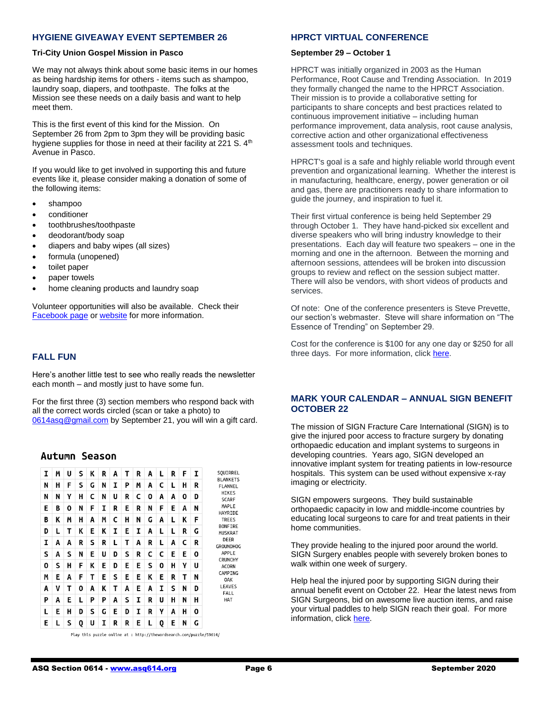# **HYGIENE GIVEAWAY EVENT SEPTEMBER 26**

### **Tri-City Union Gospel Mission in Pasco**

We may not always think about some basic items in our homes as being hardship items for others - items such as shampoo, laundry soap, diapers, and toothpaste. The folks at the Mission see these needs on a daily basis and want to help meet them.

This is the first event of this kind for the Mission. On September 26 from 2pm to 3pm they will be providing basic hygiene supplies for those in need at their facility at 221 S. 4<sup>th</sup> Avenue in Pasco.

If you would like to get involved in supporting this and future events like it, please consider making a donation of some of the following items:

- shampoo
- conditioner
- toothbrushes/toothpaste
- deodorant/body soap
- diapers and baby wipes (all sizes)
- formula (unopened)
- toilet paper
- paper towels
- home cleaning products and laundry soap

Volunteer opportunities will also be available. Check their [Facebook page](https://www.facebook.com/TriCityUnionGospelMission) or [website](https://tcugm.org/) for more information.

# **FALL FUN**

Here's another little test to see who really reads the newsletter each month – and mostly just to have some fun.

For the first three (3) section members who respond back with all the correct words circled (scan or take a photo) to [0614asq@gmail.com](mailto:0614asq@gmail.com) by September 21, you will win a gift card.

# **Autumn Season**



Play this puzzle online at : http://thewordsearch.com/puzzle/59614/

# **HPRCT VIRTUAL CONFERENCE**

### **September 29 – October 1**

HPRCT was initially organized in 2003 as the Human Performance, Root Cause and Trending Association. In 2019 they formally changed the name to the HPRCT Association. Their mission is to provide a collaborative setting for participants to share concepts and best practices related to continuous improvement initiative – including human performance improvement, data analysis, root cause analysis, corrective action and other organizational effectiveness assessment tools and techniques.

HPRCT's goal is a safe and highly reliable world through event prevention and organizational learning. Whether the interest is in manufacturing, healthcare, energy, power generation or oil and gas, there are practitioners ready to share information to guide the journey, and inspiration to fuel it.

Their first virtual conference is being held September 29 through October 1. They have hand-picked six excellent and diverse speakers who will bring industry knowledge to their presentations. Each day will feature two speakers – one in the morning and one in the afternoon. Between the morning and afternoon sessions, attendees will be broken into discussion groups to review and reflect on the session subject matter. There will also be vendors, with short videos of products and services.

Of note: One of the conference presenters is Steve Prevette, our section's webmaster. Steve will share information on "The Essence of Trending" on September 29.

Cost for the conference is \$100 for any one day or \$250 for all three days. For more information, click [here.](https://www.hprct.org/virtual-conferences)

# **MARK YOUR CALENDAR – ANNUAL SIGN BENEFIT OCTOBER 22**

The mission of SIGN Fracture Care International (SIGN) is to give the injured poor access to fracture surgery by donating orthopaedic education and implant systems to surgeons in developing countries. Years ago, SIGN developed an innovative implant system for treating patients in low-resource hospitals. This system can be used without expensive x-ray imaging or electricity.

SIGN empowers surgeons. They build sustainable orthopaedic capacity in low and middle-income countries by educating local surgeons to care for and treat patients in their home communities.

They provide healing to the injured poor around the world. SIGN Surgery enables people with severely broken bones to walk within one week of surgery.

Help heal the injured poor by supporting SIGN during their annual benefit event on October 22. Hear the latest news from SIGN Surgeons, bid on awesome live auction items, and raise your virtual paddles to help SIGN reach their goal. For more information, clic[k here.](https://www.signfracturecare.org/events)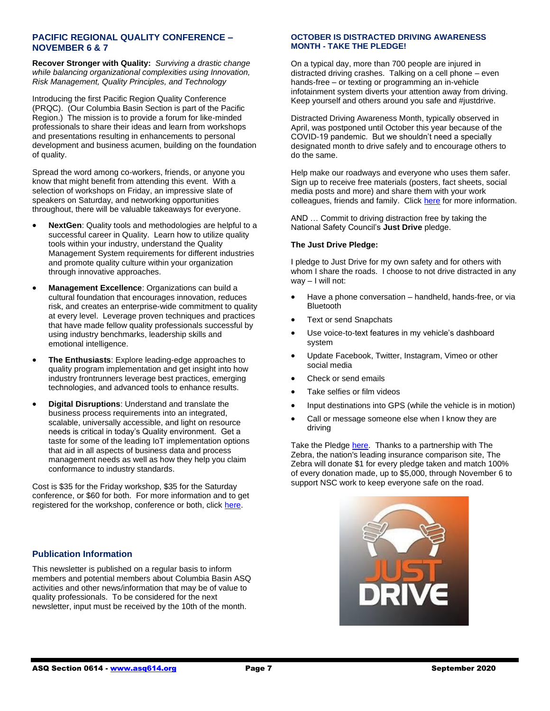# **PACIFIC REGIONAL QUALITY CONFERENCE – NOVEMBER 6 & 7**

**Recover Stronger with Quality:** *Surviving a drastic change while balancing organizational complexities using Innovation, Risk Management, Quality Principles, and Technology*

Introducing the first Pacific Region Quality Conference (PRQC). (Our Columbia Basin Section is part of the Pacific Region.) The mission is to provide a forum for like-minded professionals to share their ideas and learn from workshops and presentations resulting in enhancements to personal development and business acumen, building on the foundation of quality.

Spread the word among co-workers, friends, or anyone you know that might benefit from attending this event. With a selection of workshops on Friday, an impressive slate of speakers on Saturday, and networking opportunities throughout, there will be valuable takeaways for everyone.

- **NextGen**: Quality tools and methodologies are helpful to a successful career in Quality. Learn how to utilize quality tools within your industry, understand the Quality Management System requirements for different industries and promote quality culture within your organization through innovative approaches.
- **Management Excellence**: Organizations can build a cultural foundation that encourages innovation, reduces risk, and creates an enterprise-wide commitment to quality at every level. Leverage proven techniques and practices that have made fellow quality professionals successful by using industry benchmarks, leadership skills and emotional intelligence.
- **The Enthusiasts**: Explore leading-edge approaches to quality program implementation and get insight into how industry frontrunners leverage best practices, emerging technologies, and advanced tools to enhance results.
- **Digital Disruptions**: Understand and translate the business process requirements into an integrated, scalable, universally accessible, and light on resource needs is critical in today's Quality environment. Get a taste for some of the leading IoT implementation options that aid in all aspects of business data and process management needs as well as how they help you claim conformance to industry standards.

Cost is \$35 for the Friday workshop, \$35 for the Saturday conference, or \$60 for both. For more information and to get registered for the workshop, conference or both, click [here.](http://pacificregionconference.com/program-and-pricing/)

# **Publication Information**

This newsletter is published on a regular basis to inform members and potential members about Columbia Basin ASQ activities and other news/information that may be of value to quality professionals. To be considered for the next newsletter, input must be received by the 10th of the month.

# **OCTOBER IS DISTRACTED DRIVING AWARENESS MONTH - TAKE THE PLEDGE!**

On a typical day, more than 700 people are injured in distracted driving crashes. Talking on a cell phone – even hands-free – or texting or programming an in-vehicle infotainment system diverts your attention away from driving. Keep yourself and others around you safe and #justdrive.

Distracted Driving Awareness Month, typically observed in April, was postponed until October this year because of the COVID-19 pandemic. But we shouldn't need a specially designated month to drive safely and to encourage others to do the same.

Help make our roadways and everyone who uses them safer. Sign up to receive free materials (posters, fact sheets, social media posts and more) and share them with your work colleagues, friends and family. Click [here](https://safety.nsc.org/ddam?utm_campaign=COM%20562702&utm_medium=email&_hsmi=94446566&_hsenc=p2ANqtz-_Ibys-CfkqjUx0Hv9DEPb7E9-vJuGnv469ZSQwkZxa0PRavIHVxkxOiW8Ho7ruAfsK5eN-QcACFwzS778zJNylr285GA&utm_content=94446566&utm_source=hs_email) for more information.

AND … Commit to driving distraction free by taking the National Safety Council's **Just Drive** pledge.

# **The Just Drive Pledge:**

I pledge to Just Drive for my own safety and for others with whom I share the roads. I choose to not drive distracted in any way – I will not:

- Have a phone conversation handheld, hands-free, or via Bluetooth
- **Text or send Snapchats**
- Use voice-to-text features in my vehicle's dashboard system
- Update Facebook, Twitter, Instagram, Vimeo or other social media
- Check or send emails
- Take selfies or film videos
- Input destinations into GPS (while the vehicle is in motion)
- Call or message someone else when I know they are driving

Take the Pledge [here.](https://safety.nsc.org/ddam-pledge-donation?utm_campaign=COM%20562702&utm_medium=email&_hsmi=94446566&_hsenc=p2ANqtz--ag6x1y9NmpAf60l1JtP1bFGCpTD3iNAJwj3E8aKhcJw0qlUncrL-MzhvUHe6Hyh7Ma3KpyKB48ywk9qJ1xuHbsnQyPA&utm_content=94446566&utm_source=hs_email) Thanks to a partnership with The Zebra, the nation's leading insurance comparison site, The Zebra will donate \$1 for every pledge taken and match 100% of every donation made, up to \$5,000, through November 6 to support NSC work to keep everyone safe on the road.